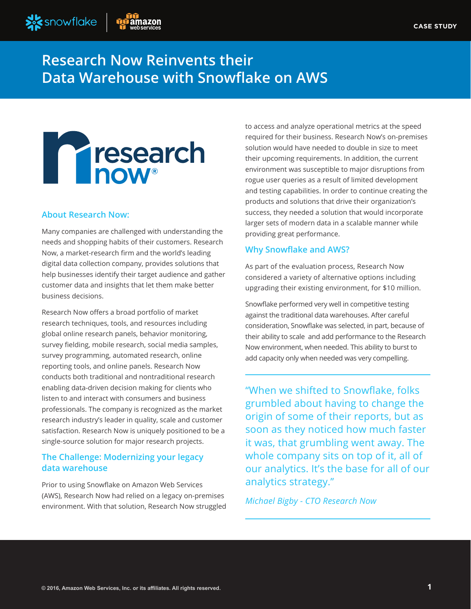

# **Research Now Reinvents their Data Warehouse with Snowflake on AWS**



## **About Research Now:**

Many companies are challenged with understanding the needs and shopping habits of their customers. Research Now, a market-research firm and the world's leading digital data collection company, provides solutions that help businesses identify their target audience and gather customer data and insights that let them make better business decisions.

Research Now offers a broad portfolio of market research techniques, tools, and resources including global online research panels, behavior monitoring, survey fielding, mobile research, social media samples, survey programming, automated research, online reporting tools, and online panels. Research Now conducts both traditional and nontraditional research enabling data-driven decision making for clients who listen to and interact with consumers and business professionals. The company is recognized as the market research industry's leader in quality, scale and customer satisfaction. Research Now is uniquely positioned to be a single-source solution for major research projects.

## **The Challenge: Modernizing your legacy data warehouse**

Prior to using Snowflake on Amazon Web Services (AWS), Research Now had relied on a legacy on-premises environment. With that solution, Research Now struggled to access and analyze operational metrics at the speed required for their business. Research Now's on-premises solution would have needed to double in size to meet their upcoming requirements. In addition, the current environment was susceptible to major disruptions from rogue user queries as a result of limited development and testing capabilities. In order to continue creating the products and solutions that drive their organization's success, they needed a solution that would incorporate larger sets of modern data in a scalable manner while providing great performance.

## **Why Snowflake and AWS?**

As part of the evaluation process, Research Now considered a variety of alternative options including upgrading their existing environment, for \$10 million.

Snowflake performed very well in competitive testing against the traditional data warehouses. After careful consideration, Snowflake was selected, in part, because of their ability to scale and add performance to the Research Now environment, when needed. This ability to burst to add capacity only when needed was very compelling.

"When we shifted to Snowflake, folks grumbled about having to change the origin of some of their reports, but as soon as they noticed how much faster it was, that grumbling went away. The whole company sits on top of it, all of our analytics. It's the base for all of our analytics strategy."

*Michael Bigby - CTO Research Now*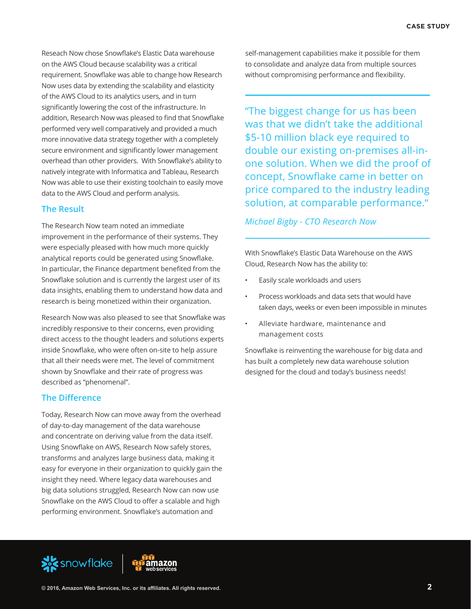Reseach Now chose Snowflake's Elastic Data warehouse on the AWS Cloud because scalability was a critical requirement. Snowflake was able to change how Research Now uses data by extending the scalability and elasticity of the AWS Cloud to its analytics users, and in turn significantly lowering the cost of the infrastructure. In addition, Research Now was pleased to find that Snowflake performed very well comparatively and provided a much more innovative data strategy together with a completely secure environment and significantly lower management overhead than other providers. With Snowflake's ability to natively integrate with Informatica and Tableau, Research Now was able to use their existing toolchain to easily move data to the AWS Cloud and perform analysis.

#### **The Result**

The Research Now team noted an immediate improvement in the performance of their systems. They were especially pleased with how much more quickly analytical reports could be generated using Snowflake. In particular, the Finance department benefited from the Snowflake solution and is currently the largest user of its data insights, enabling them to understand how data and research is being monetized within their organization.

Research Now was also pleased to see that Snowflake was incredibly responsive to their concerns, even providing direct access to the thought leaders and solutions experts inside Snowflake, who were often on-site to help assure that all their needs were met. The level of commitment shown by Snowflake and their rate of progress was described as "phenomenal".

#### **The Difference**

Today, Research Now can move away from the overhead of day-to-day management of the data warehouse and concentrate on deriving value from the data itself. Using Snowflake on AWS, Research Now safely stores, transforms and analyzes large business data, making it easy for everyone in their organization to quickly gain the insight they need. Where legacy data warehouses and big data solutions struggled, Research Now can now use Snowflake on the AWS Cloud to offer a scalable and high performing environment. Snowflake's automation and

self-management capabilities make it possible for them to consolidate and analyze data from multiple sources without compromising performance and flexibility.

"The biggest change for us has been was that we didn't take the additional \$5-10 million black eye required to double our existing on-premises all-inone solution. When we did the proof of concept, Snowflake came in better on price compared to the industry leading solution, at comparable performance."

### *Michael Bigby - CTO Research Now*

With Snowflake's Elastic Data Warehouse on the AWS Cloud, Research Now has the ability to:

- Easily scale workloads and users
- Process workloads and data sets that would have taken days, weeks or even been impossible in minutes
- Alleviate hardware, maintenance and management costs

Snowflake is reinventing the warehouse for big data and has built a completely new data warehouse solution designed for the cloud and today's business needs!